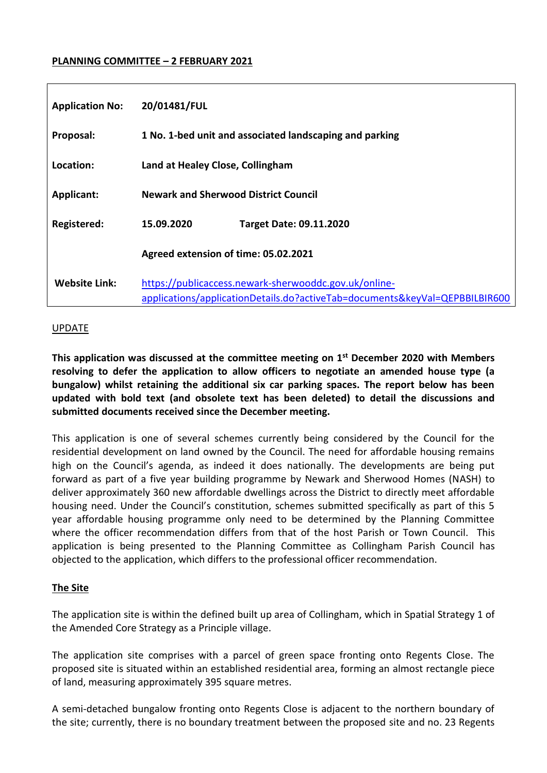### **PLANNING COMMITTEE – 2 FEBRUARY 2021**

| <b>Application No:</b> | 20/01481/FUL                                                                                                                         |
|------------------------|--------------------------------------------------------------------------------------------------------------------------------------|
| Proposal:              | 1 No. 1-bed unit and associated landscaping and parking                                                                              |
| Location:              | Land at Healey Close, Collingham                                                                                                     |
| <b>Applicant:</b>      | <b>Newark and Sherwood District Council</b>                                                                                          |
| <b>Registered:</b>     | 15.09.2020<br><b>Target Date: 09.11.2020</b>                                                                                         |
|                        | Agreed extension of time: 05.02.2021                                                                                                 |
| <b>Website Link:</b>   | https://publicaccess.newark-sherwooddc.gov.uk/online-<br>applications/applicationDetails.do?activeTab=documents&keyVal=QEPBBILBIR600 |

#### UPDATE

**This application was discussed at the committee meeting on 1 st December 2020 with Members resolving to defer the application to allow officers to negotiate an amended house type (a bungalow) whilst retaining the additional six car parking spaces. The report below has been updated with bold text (and obsolete text has been deleted) to detail the discussions and submitted documents received since the December meeting.** 

This application is one of several schemes currently being considered by the Council for the residential development on land owned by the Council. The need for affordable housing remains high on the Council's agenda, as indeed it does nationally. The developments are being put forward as part of a five year building programme by Newark and Sherwood Homes (NASH) to deliver approximately 360 new affordable dwellings across the District to directly meet affordable housing need. Under the Council's constitution, schemes submitted specifically as part of this 5 year affordable housing programme only need to be determined by the Planning Committee where the officer recommendation differs from that of the host Parish or Town Council. This application is being presented to the Planning Committee as Collingham Parish Council has objected to the application, which differs to the professional officer recommendation.

### **The Site**

The application site is within the defined built up area of Collingham, which in Spatial Strategy 1 of the Amended Core Strategy as a Principle village.

The application site comprises with a parcel of green space fronting onto Regents Close. The proposed site is situated within an established residential area, forming an almost rectangle piece of land, measuring approximately 395 square metres.

A semi-detached bungalow fronting onto Regents Close is adjacent to the northern boundary of the site; currently, there is no boundary treatment between the proposed site and no. 23 Regents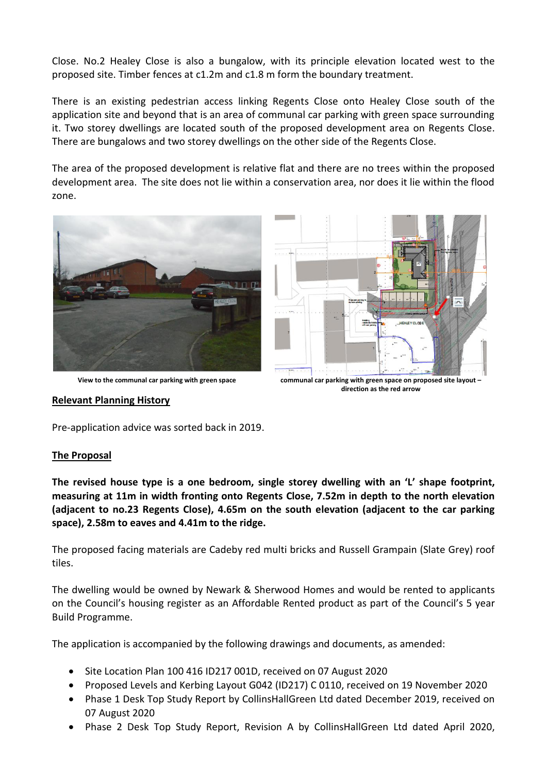Close. No.2 Healey Close is also a bungalow, with its principle elevation located west to the proposed site. Timber fences at c1.2m and c1.8 m form the boundary treatment.

There is an existing pedestrian access linking Regents Close onto Healey Close south of the application site and beyond that is an area of communal car parking with green space surrounding it. Two storey dwellings are located south of the proposed development area on Regents Close. There are bungalows and two storey dwellings on the other side of the Regents Close.

The area of the proposed development is relative flat and there are no trees within the proposed development area. The site does not lie within a conservation area, nor does it lie within the flood zone.



**View to the communal car parking with green space communal car parking with green space on proposed site layout –**

**direction as the red arrow**

### **Relevant Planning History**

Pre-application advice was sorted back in 2019.

### **The Proposal**

**The revised house type is a one bedroom, single storey dwelling with an 'L' shape footprint, measuring at 11m in width fronting onto Regents Close, 7.52m in depth to the north elevation (adjacent to no.23 Regents Close), 4.65m on the south elevation (adjacent to the car parking space), 2.58m to eaves and 4.41m to the ridge.** 

The proposed facing materials are Cadeby red multi bricks and Russell Grampain (Slate Grey) roof tiles.

The dwelling would be owned by Newark & Sherwood Homes and would be rented to applicants on the Council's housing register as an Affordable Rented product as part of the Council's 5 year Build Programme.

The application is accompanied by the following drawings and documents, as amended:

- Site Location Plan 100 416 ID217 001D, received on 07 August 2020
- Proposed Levels and Kerbing Layout G042 (ID217) C 0110, received on 19 November 2020
- Phase 1 Desk Top Study Report by CollinsHallGreen Ltd dated December 2019, received on 07 August 2020
- Phase 2 Desk Top Study Report, Revision A by CollinsHallGreen Ltd dated April 2020,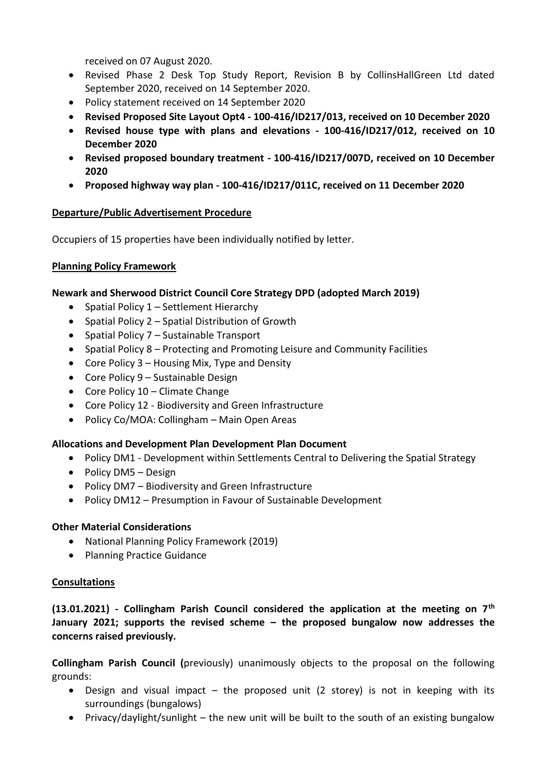received on 07 August 2020.

- Revised Phase 2 Desk Top Study Report, Revision B by CollinsHallGreen Ltd dated September 2020, received on 14 September 2020.
- Policy statement received on 14 September 2020
- **Revised Proposed Site Layout Opt4 - 100-416/ID217/013, received on 10 December 2020**
- **Revised house type with plans and elevations - 100-416/ID217/012, received on 10 December 2020**
- **Revised proposed boundary treatment - 100-416/ID217/007D, received on 10 December 2020**
- **Proposed highway way plan - 100-416/ID217/011C, received on 11 December 2020**

## **Departure/Public Advertisement Procedure**

Occupiers of 15 properties have been individually notified by letter.

## **Planning Policy Framework**

## **Newark and Sherwood District Council Core Strategy DPD (adopted March 2019)**

- Spatial Policy 1 Settlement Hierarchy
- Spatial Policy 2 Spatial Distribution of Growth
- Spatial Policy 7 Sustainable Transport
- Spatial Policy 8 Protecting and Promoting Leisure and Community Facilities
- Core Policy  $3$  Housing Mix, Type and Density
- Core Policy 9 Sustainable Design
- Core Policy  $10$  Climate Change
- Core Policy 12 Biodiversity and Green Infrastructure
- Policy Co/MOA: Collingham Main Open Areas

# **Allocations and Development Plan Development Plan Document**

- Policy DM1 Development within Settlements Central to Delivering the Spatial Strategy
- Policy DM5 Design
- Policy DM7 Biodiversity and Green Infrastructure
- Policy DM12 Presumption in Favour of Sustainable Development

# **Other Material Considerations**

- National Planning Policy Framework (2019)
- Planning Practice Guidance

### **Consultations**

**(13.01.2021) - Collingham Parish Council considered the application at the meeting on 7th January 2021; supports the revised scheme – the proposed bungalow now addresses the concerns raised previously.**

**Collingham Parish Council (**previously) unanimously objects to the proposal on the following grounds:

- Design and visual impact the proposed unit (2 storey) is not in keeping with its surroundings (bungalows)
- Privacy/daylight/sunlight the new unit will be built to the south of an existing bungalow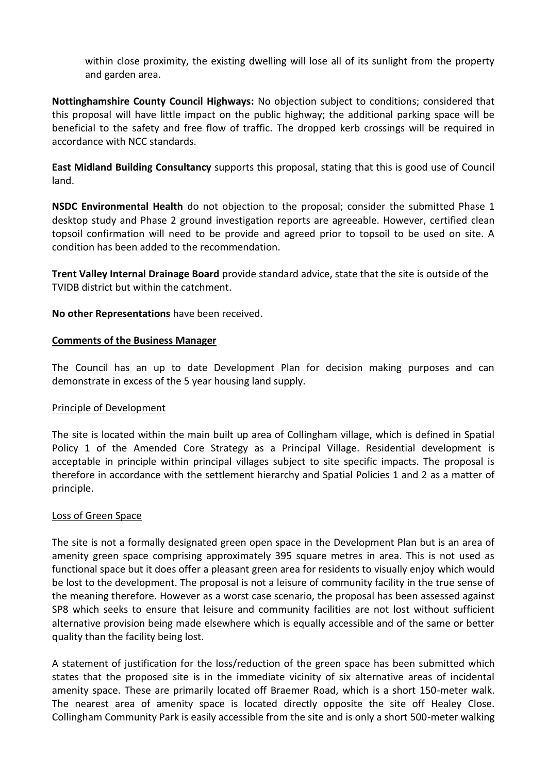within close proximity, the existing dwelling will lose all of its sunlight from the property and garden area.

**Nottinghamshire County Council Highways:** No objection subject to conditions; considered that this proposal will have little impact on the public highway; the additional parking space will be beneficial to the safety and free flow of traffic. The dropped kerb crossings will be required in accordance with NCC standards.

**East Midland Building Consultancy** supports this proposal, stating that this is good use of Council land.

**NSDC Environmental Health** do not objection to the proposal; consider the submitted Phase 1 desktop study and Phase 2 ground investigation reports are agreeable. However, certified clean topsoil confirmation will need to be provide and agreed prior to topsoil to be used on site. A condition has been added to the recommendation.

**Trent Valley Internal Drainage Board** provide standard advice, state that the site is outside of the TVIDB district but within the catchment.

### **No other Representations** have been received.

### **Comments of the Business Manager**

The Council has an up to date Development Plan for decision making purposes and can demonstrate in excess of the 5 year housing land supply.

### Principle of Development

The site is located within the main built up area of Collingham village, which is defined in Spatial Policy 1 of the Amended Core Strategy as a Principal Village. Residential development is acceptable in principle within principal villages subject to site specific impacts. The proposal is therefore in accordance with the settlement hierarchy and Spatial Policies 1 and 2 as a matter of principle.

### Loss of Green Space

The site is not a formally designated green open space in the Development Plan but is an area of amenity green space comprising approximately 395 square metres in area. This is not used as functional space but it does offer a pleasant green area for residents to visually enjoy which would be lost to the development. The proposal is not a leisure of community facility in the true sense of the meaning therefore. However as a worst case scenario, the proposal has been assessed against SP8 which seeks to ensure that leisure and community facilities are not lost without sufficient alternative provision being made elsewhere which is equally accessible and of the same or better quality than the facility being lost.

A statement of justification for the loss/reduction of the green space has been submitted which states that the proposed site is in the immediate vicinity of six alternative areas of incidental amenity space. These are primarily located off Braemer Road, which is a short 150-meter walk. The nearest area of amenity space is located directly opposite the site off Healey Close. Collingham Community Park is easily accessible from the site and is only a short 500-meter walking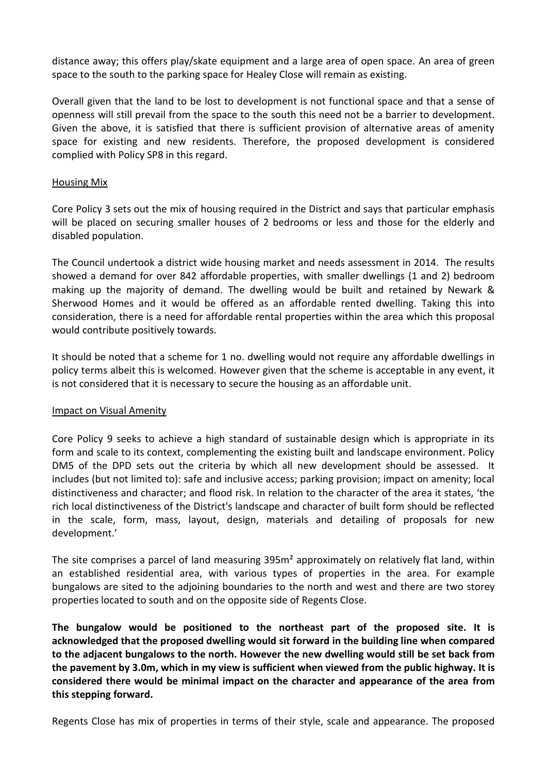distance away; this offers play/skate equipment and a large area of open space. An area of green space to the south to the parking space for Healey Close will remain as existing.

Overall given that the land to be lost to development is not functional space and that a sense of openness will still prevail from the space to the south this need not be a barrier to development. Given the above, it is satisfied that there is sufficient provision of alternative areas of amenity space for existing and new residents. Therefore, the proposed development is considered complied with Policy SP8 in this regard.

### Housing Mix

Core Policy 3 sets out the mix of housing required in the District and says that particular emphasis will be placed on securing smaller houses of 2 bedrooms or less and those for the elderly and disabled population.

The Council undertook a district wide housing market and needs assessment in 2014. The results showed a demand for over 842 affordable properties, with smaller dwellings (1 and 2) bedroom making up the majority of demand. The dwelling would be built and retained by Newark & Sherwood Homes and it would be offered as an affordable rented dwelling. Taking this into consideration, there is a need for affordable rental properties within the area which this proposal would contribute positively towards.

It should be noted that a scheme for 1 no. dwelling would not require any affordable dwellings in policy terms albeit this is welcomed. However given that the scheme is acceptable in any event, it is not considered that it is necessary to secure the housing as an affordable unit.

### Impact on Visual Amenity

Core Policy 9 seeks to achieve a high standard of sustainable design which is appropriate in its form and scale to its context, complementing the existing built and landscape environment. Policy DM5 of the DPD sets out the criteria by which all new development should be assessed. It includes (but not limited to): safe and inclusive access; parking provision; impact on amenity; local distinctiveness and character; and flood risk. In relation to the character of the area it states, 'the rich local distinctiveness of the District's landscape and character of built form should be reflected in the scale, form, mass, layout, design, materials and detailing of proposals for new development.'

The site comprises a parcel of land measuring 395m² approximately on relatively flat land, within an established residential area, with various types of properties in the area. For example bungalows are sited to the adjoining boundaries to the north and west and there are two storey properties located to south and on the opposite side of Regents Close.

**The bungalow would be positioned to the northeast part of the proposed site. It is acknowledged that the proposed dwelling would sit forward in the building line when compared to the adjacent bungalows to the north. However the new dwelling would still be set back from the pavement by 3.0m, which in my view is sufficient when viewed from the public highway. It is considered there would be minimal impact on the character and appearance of the area from this stepping forward.** 

Regents Close has mix of properties in terms of their style, scale and appearance. The proposed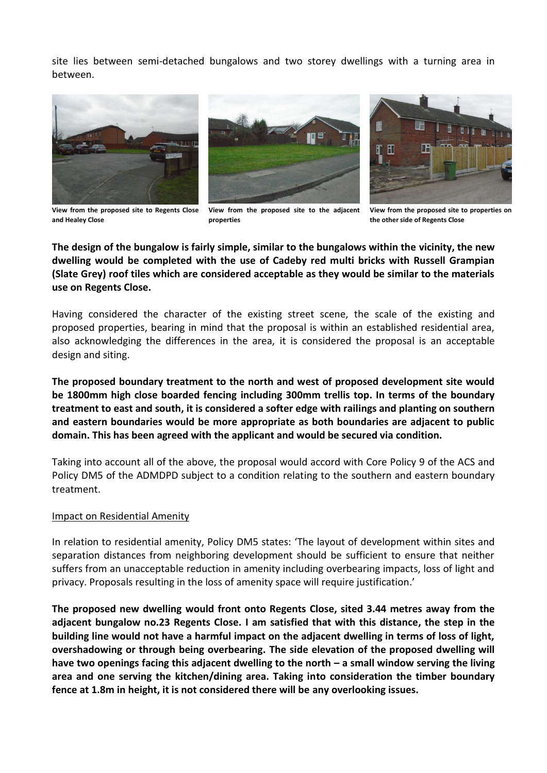site lies between semi-detached bungalows and two storey dwellings with a turning area in between.







**View from the proposed site to Regents Close and Healey Close**

**View from the proposed site to the adjacent properties**

**View from the proposed site to properties on the other side of Regents Close**

**The design of the bungalow is fairly simple, similar to the bungalows within the vicinity, the new dwelling would be completed with the use of Cadeby red multi bricks with Russell Grampian (Slate Grey) roof tiles which are considered acceptable as they would be similar to the materials use on Regents Close.**

Having considered the character of the existing street scene, the scale of the existing and proposed properties, bearing in mind that the proposal is within an established residential area, also acknowledging the differences in the area, it is considered the proposal is an acceptable design and siting.

**The proposed boundary treatment to the north and west of proposed development site would be 1800mm high close boarded fencing including 300mm trellis top. In terms of the boundary treatment to east and south, it is considered a softer edge with railings and planting on southern and eastern boundaries would be more appropriate as both boundaries are adjacent to public domain. This has been agreed with the applicant and would be secured via condition.** 

Taking into account all of the above, the proposal would accord with Core Policy 9 of the ACS and Policy DM5 of the ADMDPD subject to a condition relating to the southern and eastern boundary treatment.

#### Impact on Residential Amenity

In relation to residential amenity, Policy DM5 states: 'The layout of development within sites and separation distances from neighboring development should be sufficient to ensure that neither suffers from an unacceptable reduction in amenity including overbearing impacts, loss of light and privacy. Proposals resulting in the loss of amenity space will require justification.'

**The proposed new dwelling would front onto Regents Close, sited 3.44 metres away from the adjacent bungalow no.23 Regents Close. I am satisfied that with this distance, the step in the building line would not have a harmful impact on the adjacent dwelling in terms of loss of light, overshadowing or through being overbearing. The side elevation of the proposed dwelling will have two openings facing this adjacent dwelling to the north – a small window serving the living area and one serving the kitchen/dining area. Taking into consideration the timber boundary fence at 1.8m in height, it is not considered there will be any overlooking issues.**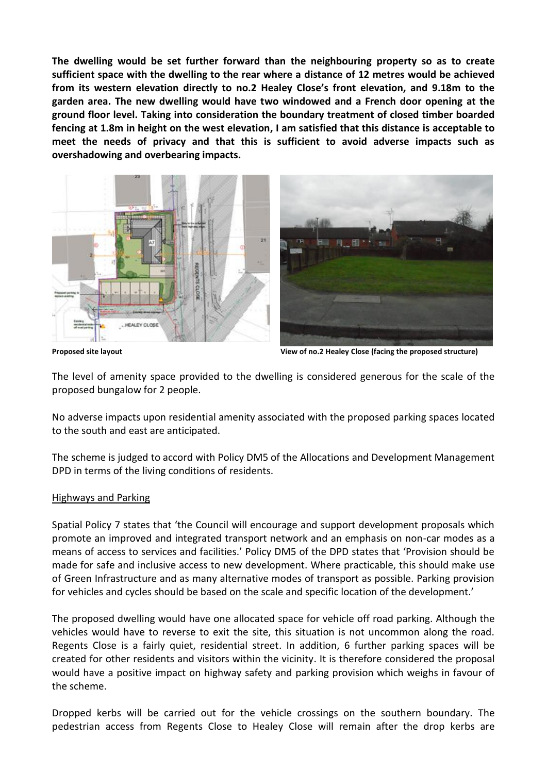**The dwelling would be set further forward than the neighbouring property so as to create sufficient space with the dwelling to the rear where a distance of 12 metres would be achieved from its western elevation directly to no.2 Healey Close's front elevation, and 9.18m to the garden area. The new dwelling would have two windowed and a French door opening at the ground floor level. Taking into consideration the boundary treatment of closed timber boarded fencing at 1.8m in height on the west elevation, I am satisfied that this distance is acceptable to meet the needs of privacy and that this is sufficient to avoid adverse impacts such as overshadowing and overbearing impacts.**



**Proposed site layout View of no.2 Healey Close (facing the proposed structure)**

The level of amenity space provided to the dwelling is considered generous for the scale of the proposed bungalow for 2 people.

No adverse impacts upon residential amenity associated with the proposed parking spaces located to the south and east are anticipated.

The scheme is judged to accord with Policy DM5 of the Allocations and Development Management DPD in terms of the living conditions of residents.

### Highways and Parking

Spatial Policy 7 states that 'the Council will encourage and support development proposals which promote an improved and integrated transport network and an emphasis on non-car modes as a means of access to services and facilities.' Policy DM5 of the DPD states that 'Provision should be made for safe and inclusive access to new development. Where practicable, this should make use of Green Infrastructure and as many alternative modes of transport as possible. Parking provision for vehicles and cycles should be based on the scale and specific location of the development.'

The proposed dwelling would have one allocated space for vehicle off road parking. Although the vehicles would have to reverse to exit the site, this situation is not uncommon along the road. Regents Close is a fairly quiet, residential street. In addition, 6 further parking spaces will be created for other residents and visitors within the vicinity. It is therefore considered the proposal would have a positive impact on highway safety and parking provision which weighs in favour of the scheme.

Dropped kerbs will be carried out for the vehicle crossings on the southern boundary. The pedestrian access from Regents Close to Healey Close will remain after the drop kerbs are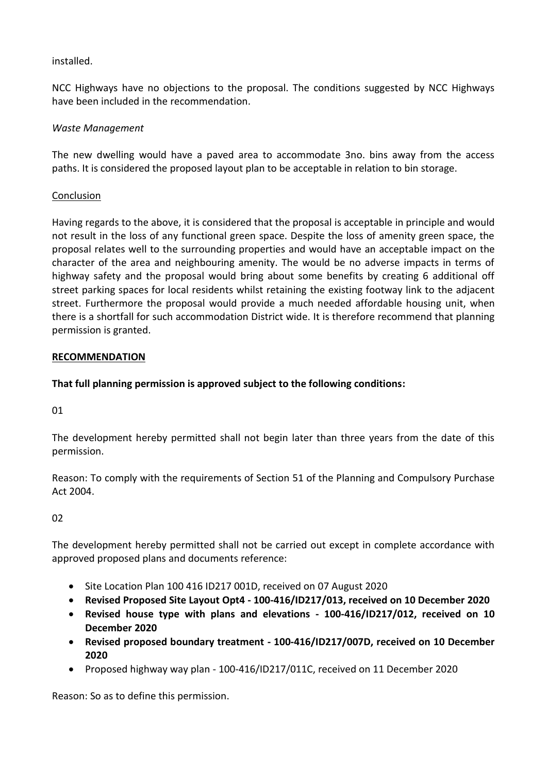## installed.

NCC Highways have no objections to the proposal. The conditions suggested by NCC Highways have been included in the recommendation.

## *Waste Management*

The new dwelling would have a paved area to accommodate 3no. bins away from the access paths. It is considered the proposed layout plan to be acceptable in relation to bin storage.

### Conclusion

Having regards to the above, it is considered that the proposal is acceptable in principle and would not result in the loss of any functional green space. Despite the loss of amenity green space, the proposal relates well to the surrounding properties and would have an acceptable impact on the character of the area and neighbouring amenity. The would be no adverse impacts in terms of highway safety and the proposal would bring about some benefits by creating 6 additional off street parking spaces for local residents whilst retaining the existing footway link to the adjacent street. Furthermore the proposal would provide a much needed affordable housing unit, when there is a shortfall for such accommodation District wide. It is therefore recommend that planning permission is granted.

### **RECOMMENDATION**

# **That full planning permission is approved subject to the following conditions:**

01

The development hereby permitted shall not begin later than three years from the date of this permission.

Reason: To comply with the requirements of Section 51 of the Planning and Compulsory Purchase Act 2004.

02

The development hereby permitted shall not be carried out except in complete accordance with approved proposed plans and documents reference:

- Site Location Plan 100 416 ID217 001D, received on 07 August 2020
- **Revised Proposed Site Layout Opt4 - 100-416/ID217/013, received on 10 December 2020**
- **Revised house type with plans and elevations - 100-416/ID217/012, received on 10 December 2020**
- **Revised proposed boundary treatment - 100-416/ID217/007D, received on 10 December 2020**
- Proposed highway way plan 100-416/ID217/011C, received on 11 December 2020

Reason: So as to define this permission.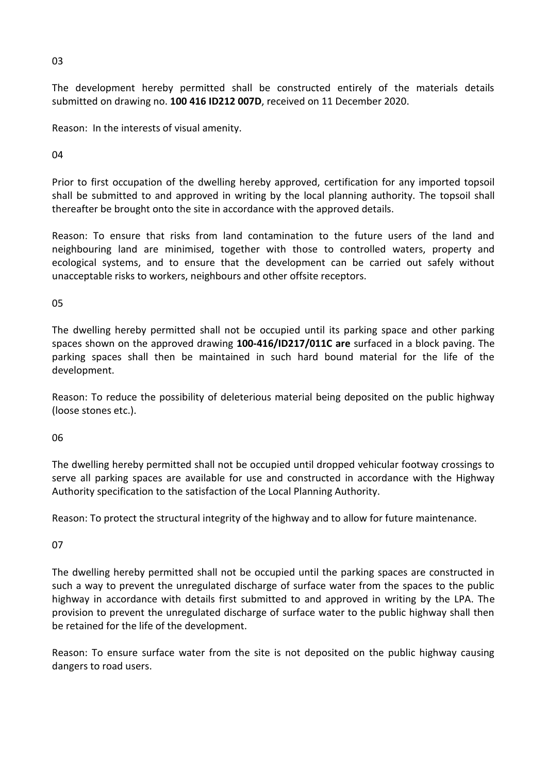03

The development hereby permitted shall be constructed entirely of the materials details submitted on drawing no. **100 416 ID212 007D**, received on 11 December 2020.

Reason: In the interests of visual amenity.

04

Prior to first occupation of the dwelling hereby approved, certification for any imported topsoil shall be submitted to and approved in writing by the local planning authority. The topsoil shall thereafter be brought onto the site in accordance with the approved details.

Reason: To ensure that risks from land contamination to the future users of the land and neighbouring land are minimised, together with those to controlled waters, property and ecological systems, and to ensure that the development can be carried out safely without unacceptable risks to workers, neighbours and other offsite receptors.

05

The dwelling hereby permitted shall not be occupied until its parking space and other parking spaces shown on the approved drawing **100-416/ID217/011C are** surfaced in a block paving. The parking spaces shall then be maintained in such hard bound material for the life of the development.

Reason: To reduce the possibility of deleterious material being deposited on the public highway (loose stones etc.).

06

The dwelling hereby permitted shall not be occupied until dropped vehicular footway crossings to serve all parking spaces are available for use and constructed in accordance with the Highway Authority specification to the satisfaction of the Local Planning Authority.

Reason: To protect the structural integrity of the highway and to allow for future maintenance.

07

The dwelling hereby permitted shall not be occupied until the parking spaces are constructed in such a way to prevent the unregulated discharge of surface water from the spaces to the public highway in accordance with details first submitted to and approved in writing by the LPA. The provision to prevent the unregulated discharge of surface water to the public highway shall then be retained for the life of the development.

Reason: To ensure surface water from the site is not deposited on the public highway causing dangers to road users.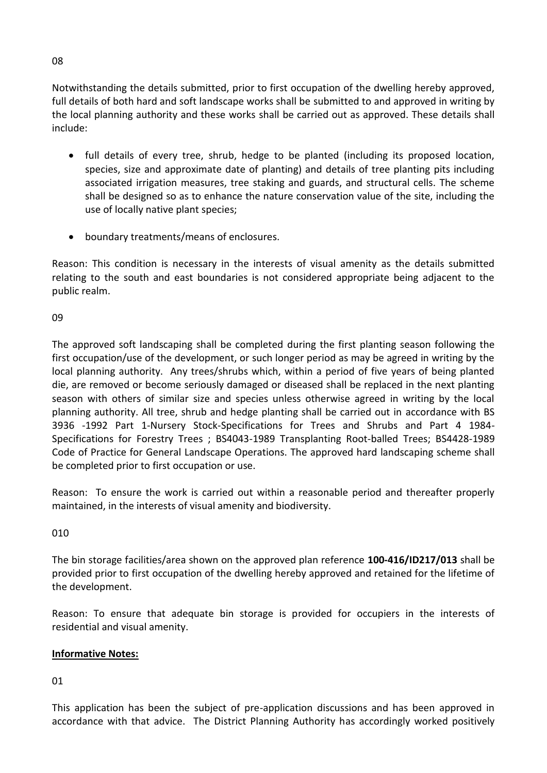Notwithstanding the details submitted, prior to first occupation of the dwelling hereby approved, full details of both hard and soft landscape works shall be submitted to and approved in writing by the local planning authority and these works shall be carried out as approved. These details shall include:

- full details of every tree, shrub, hedge to be planted (including its proposed location, species, size and approximate date of planting) and details of tree planting pits including associated irrigation measures, tree staking and guards, and structural cells. The scheme shall be designed so as to enhance the nature conservation value of the site, including the use of locally native plant species;
- boundary treatments/means of enclosures.

Reason: This condition is necessary in the interests of visual amenity as the details submitted relating to the south and east boundaries is not considered appropriate being adjacent to the public realm.

09

The approved soft landscaping shall be completed during the first planting season following the first occupation/use of the development, or such longer period as may be agreed in writing by the local planning authority. Any trees/shrubs which, within a period of five years of being planted die, are removed or become seriously damaged or diseased shall be replaced in the next planting season with others of similar size and species unless otherwise agreed in writing by the local planning authority. All tree, shrub and hedge planting shall be carried out in accordance with BS 3936 -1992 Part 1-Nursery Stock-Specifications for Trees and Shrubs and Part 4 1984- Specifications for Forestry Trees ; BS4043-1989 Transplanting Root-balled Trees; BS4428-1989 Code of Practice for General Landscape Operations. The approved hard landscaping scheme shall be completed prior to first occupation or use.

Reason: To ensure the work is carried out within a reasonable period and thereafter properly maintained, in the interests of visual amenity and biodiversity.

010

The bin storage facilities/area shown on the approved plan reference **100-416/ID217/013** shall be provided prior to first occupation of the dwelling hereby approved and retained for the lifetime of the development.

Reason: To ensure that adequate bin storage is provided for occupiers in the interests of residential and visual amenity.

# **Informative Notes:**

01

This application has been the subject of pre-application discussions and has been approved in accordance with that advice. The District Planning Authority has accordingly worked positively

08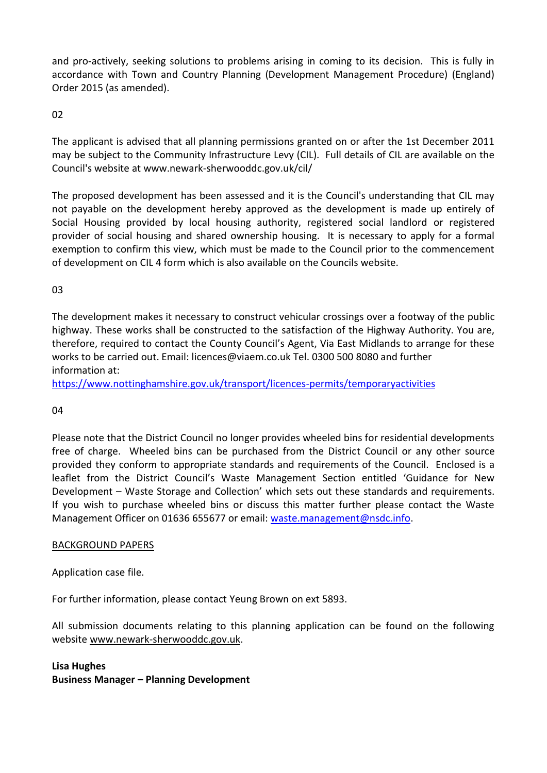and pro-actively, seeking solutions to problems arising in coming to its decision. This is fully in accordance with Town and Country Planning (Development Management Procedure) (England) Order 2015 (as amended).

02

The applicant is advised that all planning permissions granted on or after the 1st December 2011 may be subject to the Community Infrastructure Levy (CIL). Full details of CIL are available on the Council's website at www.newark-sherwooddc.gov.uk/cil/

The proposed development has been assessed and it is the Council's understanding that CIL may not payable on the development hereby approved as the development is made up entirely of Social Housing provided by local housing authority, registered social landlord or registered provider of social housing and shared ownership housing. It is necessary to apply for a formal exemption to confirm this view, which must be made to the Council prior to the commencement of development on CIL 4 form which is also available on the Councils website.

03

The development makes it necessary to construct vehicular crossings over a footway of the public highway. These works shall be constructed to the satisfaction of the Highway Authority. You are, therefore, required to contact the County Council's Agent, Via East Midlands to arrange for these works to be carried out. Email: licences@viaem.co.uk Tel. 0300 500 8080 and further information at:

<https://www.nottinghamshire.gov.uk/transport/licences-permits/temporaryactivities>

04

Please note that the District Council no longer provides wheeled bins for residential developments free of charge. Wheeled bins can be purchased from the District Council or any other source provided they conform to appropriate standards and requirements of the Council. Enclosed is a leaflet from the District Council's Waste Management Section entitled 'Guidance for New Development – Waste Storage and Collection' which sets out these standards and requirements. If you wish to purchase wheeled bins or discuss this matter further please contact the Waste Management Officer on 01636 655677 or email: [waste.management@nsdc.info.](mailto:waste.management@nsdc.info)

# BACKGROUND PAPERS

Application case file.

For further information, please contact Yeung Brown on ext 5893.

All submission documents relating to this planning application can be found on the following websit[e www.newark-sherwooddc.gov.uk.](http://www.newark-sherwooddc.gov.uk/)

**Lisa Hughes Business Manager – Planning Development**